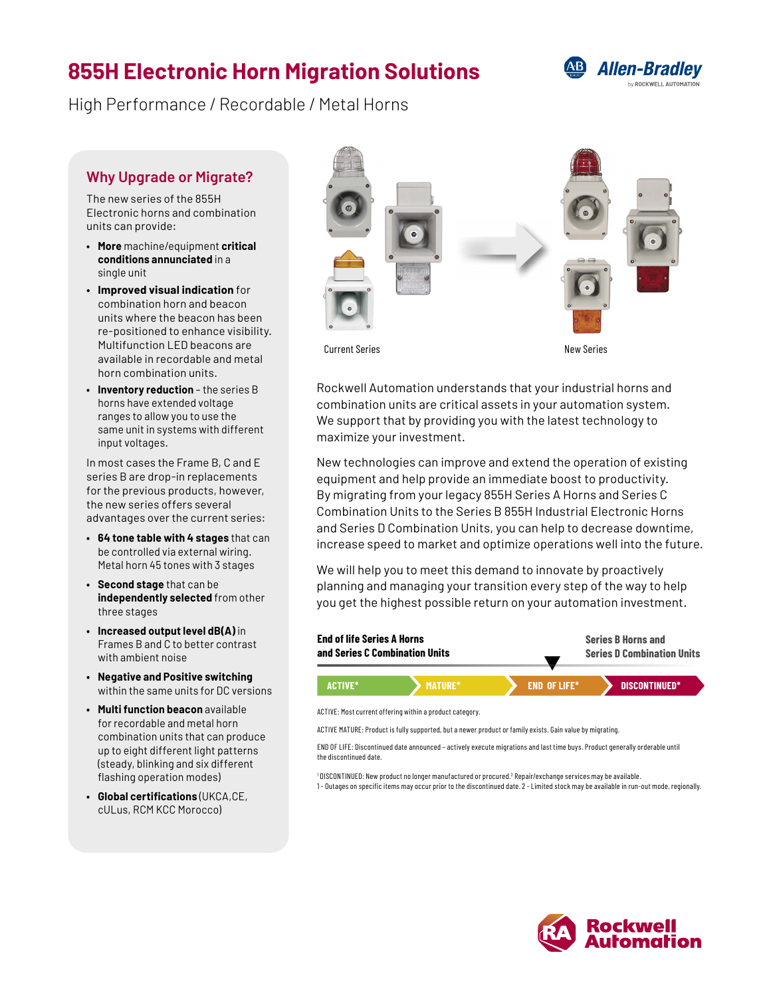# **855H Electronic Horn Migration Solutions**



High Performance / Recordable / Metal Horns

### **Why Upgrade or Migrate?**

The new series of the 855H Electronic horns and combination units can provide:

- **• More** machine/equipment **critical conditions annunciated** in a single unit
- **• Improved visual indication** for combination horn and beacon units where the beacon has been re-positioned to enhance visibility. Multifunction LED beacons are available in recordable and metal horn combination units.
- **• Inventory reduction** the series B horns have extended voltage ranges to allow you to use the same unit in systems with different input voltages.

In most cases the Frame B, C and E series B are drop-in replacements for the previous products, however, the new series offers several advantages over the current series:

- **• 64 tone table with 4 stages** that can be controlled via external wiring. Metal horn 45 tones with 3 stages
- **• Second stage** that can be **independently selected** from other three stages
- **• Increased output level dB(A)** in Frames B and C to better contrast with ambient noise
- **• Negative and Positive switching** within the same units for DC versions
- **• Multi function beacon** available for recordable and metal horn combination units that can produce up to eight different light patterns (steady, blinking and six different flashing operation modes)
- **• Global certifications** (UKCA,CE, cULus, RCM KCC Morocco)



Current Series New Series

Rockwell Automation understands that your industrial horns and combination units are critical assets in your automation system. We support that by providing you with the latest technology to maximize your investment.

New technologies can improve and extend the operation of existing equipment and help provide an immediate boost to productivity. By migrating from your legacy 855H Series A Horns and Series C Combination Units to the Series B 855H Industrial Electronic Horns and Series D Combination Units, you can help to decrease downtime, increase speed to market and optimize operations well into the future.

We will help you to meet this demand to innovate by proactively planning and managing your transition every step of the way to help you get the highest possible return on your automation investment.



ACTIVE MATURE: Product is fully supported, but a newer product or family exists. Gain value by migrating.

END OF LIFE: Discontinued date announced – actively execute migrations and last time buys. Product generally orderable until the discontinued date.

<sup>1</sup> DISCONTINUED: New product no longer manufactured or procured.<sup>2</sup> Repair/exchange services may be available. 1 - Outages on specific items may occur prior to the discontinued date. 2 - Limited stock may be available in run-out mode, regionally.

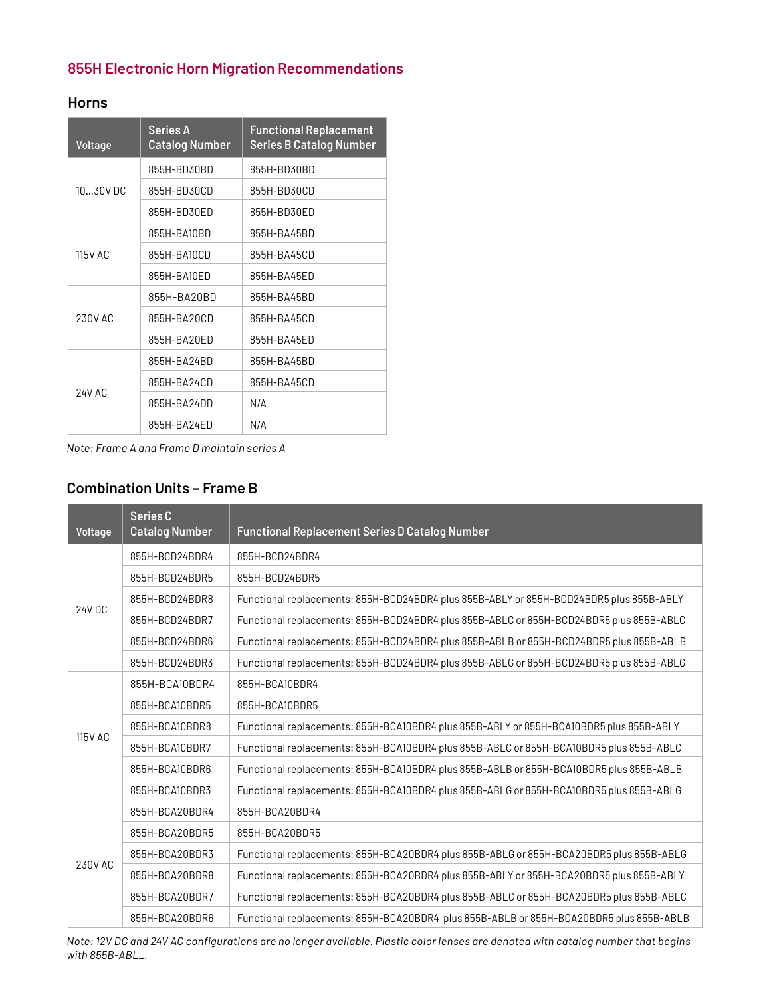## **855H Electronic Horn Migration Recommendations**

#### **Horns**

| Voltage | <b>Series A</b><br><b>Catalog Number</b> | <b>Functional Replacement</b><br><b>Series B Catalog Number</b> |  |
|---------|------------------------------------------|-----------------------------------------------------------------|--|
| 1030VDC | 855H-BD30BD                              | 855H-BD30BD                                                     |  |
|         | 855H-BD30CD                              | 855H-BD30CD                                                     |  |
|         | 855H-BD30ED                              | 855H-BD30ED                                                     |  |
| 115V AC | 855H-BA10BD                              | 855H-BA45BD                                                     |  |
|         | 855H-BA10CD                              | 855H-BA45CD                                                     |  |
|         | 855H-BA10ED                              | 855H-BA45FD                                                     |  |
| 230V AC | 855H-BA20BD                              | 855H-BA45BD                                                     |  |
|         | 855H-BA20CD                              | 855H-BA45CD                                                     |  |
|         | 855H-BA20ED                              | 855H-BA45ED                                                     |  |
|         | 855H-BA24BD                              | 855H-BA45BD                                                     |  |
|         | 855H-BA24CD                              | 855H-BA45CD                                                     |  |
| 24V AC  | 855H-BA24DD                              | N/A                                                             |  |
|         | 855H-BA24FD                              | N/A                                                             |  |

*Note: Frame A and Frame D maintain series A*

# **Combination Units – Frame B**

| Voltage        | <b>Series C</b><br><b>Catalog Number</b> | <b>Functional Replacement Series D Catalog Number</b>                                   |
|----------------|------------------------------------------|-----------------------------------------------------------------------------------------|
|                | 855H-BCD24BDR4                           | 855H-BCD24BDR4                                                                          |
|                | 855H-BCD24BDR5                           | 855H-BCD24BDR5                                                                          |
|                | 855H-BCD24BDR8                           | Functional replacements: 855H-BCD24BDR4 plus 855B-ABLY or 855H-BCD24BDR5 plus 855B-ABLY |
| 24V DC         | 855H-BCD24BDR7                           | Functional replacements: 855H-BCD24BDR4 plus 855B-ABLC or 855H-BCD24BDR5 plus 855B-ABLC |
|                | 855H-BCD24BDR6                           | Functional replacements: 855H-BCD24BDR4 plus 855B-ABLB or 855H-BCD24BDR5 plus 855B-ABLB |
|                | 855H-BCD24BDR3                           | Functional replacements: 855H-BCD24BDR4 plus 855B-ABLG or 855H-BCD24BDR5 plus 855B-ABLG |
|                | 855H-BCA10BDR4                           | 855H-BCA10BDR4                                                                          |
|                | 855H-BCA10BDR5                           | 855H-BCA10BDR5                                                                          |
|                | 855H-BCA10BDR8                           | Functional replacements: 855H-BCA10BDR4 plus 855B-ABLY or 855H-BCA10BDR5 plus 855B-ABLY |
| <b>115V AC</b> | 855H-BCA10BDR7                           | Functional replacements: 855H-BCA10BDR4 plus 855B-ABLC or 855H-BCA10BDR5 plus 855B-ABLC |
|                | 855H-BCA10BDR6                           | Functional replacements: 855H-BCA10BDR4 plus 855B-ABLB or 855H-BCA10BDR5 plus 855B-ABLB |
|                | 855H-BCA10BDR3                           | Functional replacements: 855H-BCA10BDR4 plus 855B-ABLG or 855H-BCA10BDR5 plus 855B-ABLG |
| 230V AC        | 855H-BCA20BDR4                           | 855H-BCA20BDR4                                                                          |
|                | 855H-BCA20BDR5                           | 855H-BCA20BDR5                                                                          |
|                | 855H-BCA20BDR3                           | Functional replacements: 855H-BCA20BDR4 plus 855B-ABLG or 855H-BCA20BDR5 plus 855B-ABLG |
|                | 855H-BCA20BDR8                           | Functional replacements: 855H-BCA20BDR4 plus 855B-ABLY or 855H-BCA20BDR5 plus 855B-ABLY |
|                | 855H-BCA20BDR7                           | Functional replacements: 855H-BCA20BDR4 plus 855B-ABLC or 855H-BCA20BDR5 plus 855B-ABLC |
|                | 855H-BCA20BDR6                           | Functional replacements: 855H-BCA20BDR4 plus 855B-ABLB or 855H-BCA20BDR5 plus 855B-ABLB |

*Note: 12V DC and 24V AC configurations are no longer available. Plastic color lenses are denoted with catalog number that begins with 855B-ABL\_.*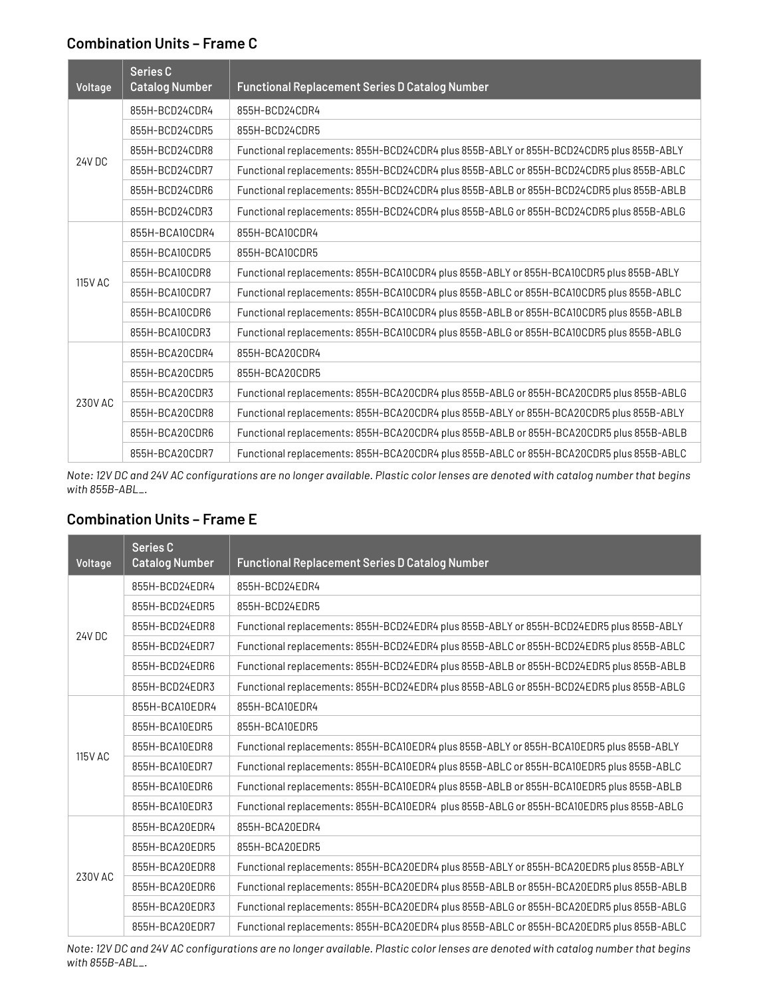#### **Combination Units – Frame C**

| Voltage        | <b>Series C</b><br><b>Catalog Number</b> | <b>Functional Replacement Series D Catalog Number</b>                                   |
|----------------|------------------------------------------|-----------------------------------------------------------------------------------------|
|                | 855H-BCD24CDR4                           | 855H-BCD24CDR4                                                                          |
|                | 855H-BCD24CDR5                           | 855H-BCD24CDR5                                                                          |
|                | 855H-BCD24CDR8                           | Functional replacements: 855H-BCD24CDR4 plus 855B-ABLY or 855H-BCD24CDR5 plus 855B-ABLY |
| <b>24V DC</b>  | 855H-BCD24CDR7                           | Functional replacements: 855H-BCD24CDR4 plus 855B-ABLC or 855H-BCD24CDR5 plus 855B-ABLC |
|                | 855H-BCD24CDR6                           | Functional replacements: 855H-BCD24CDR4 plus 855B-ABLB or 855H-BCD24CDR5 plus 855B-ABLB |
|                | 855H-BCD24CDR3                           | Functional replacements: 855H-BCD24CDR4 plus 855B-ABLG or 855H-BCD24CDR5 plus 855B-ABLG |
| <b>115V AC</b> | 855H-BCA10CDR4                           | 855H-BCA10CDR4                                                                          |
|                | 855H-BCA10CDR5                           | 855H-BCA10CDR5                                                                          |
|                | 855H-BCA10CDR8                           | Functional replacements: 855H-BCA10CDR4 plus 855B-ABLY or 855H-BCA10CDR5 plus 855B-ABLY |
|                | 855H-BCA10CDR7                           | Functional replacements: 855H-BCA10CDR4 plus 855B-ABLC or 855H-BCA10CDR5 plus 855B-ABLC |
|                | 855H-BCA10CDR6                           | Functional replacements: 855H-BCA10CDR4 plus 855B-ABLB or 855H-BCA10CDR5 plus 855B-ABLB |
|                | 855H-BCA10CDR3                           | Functional replacements: 855H-BCA10CDR4 plus 855B-ABLG or 855H-BCA10CDR5 plus 855B-ABLG |
| 230V AC        | 855H-BCA20CDR4                           | 855H-BCA20CDR4                                                                          |
|                | 855H-BCA20CDR5                           | 855H-BCA20CDR5                                                                          |
|                | 855H-BCA20CDR3                           | Functional replacements: 855H-BCA20CDR4 plus 855B-ABLG or 855H-BCA20CDR5 plus 855B-ABLG |
|                | 855H-BCA20CDR8                           | Functional replacements: 855H-BCA20CDR4 plus 855B-ABLY or 855H-BCA20CDR5 plus 855B-ABLY |
|                | 855H-BCA20CDR6                           | Functional replacements: 855H-BCA20CDR4 plus 855B-ABLB or 855H-BCA20CDR5 plus 855B-ABLB |
|                | 855H-BCA20CDR7                           | Functional replacements: 855H-BCA20CDR4 plus 855B-ABLC or 855H-BCA20CDR5 plus 855B-ABLC |

*Note: 12V DC and 24V AC configurations are no longer available. Plastic color lenses are denoted with catalog number that begins with 855B-ABL\_.*

### **Combination Units – Frame E**

| Voltage        | Series C<br><b>Catalog Number</b> | <b>Functional Replacement Series D Catalog Number</b>                                   |
|----------------|-----------------------------------|-----------------------------------------------------------------------------------------|
|                | 855H-BCD24EDR4                    | 855H-BCD24EDR4                                                                          |
|                | 855H-BCD24EDR5                    | 855H-BCD24EDR5                                                                          |
| <b>24V DC</b>  | 855H-BCD24EDR8                    | Functional replacements: 855H-BCD24EDR4 plus 855B-ABLY or 855H-BCD24EDR5 plus 855B-ABLY |
|                | 855H-BCD24EDR7                    | Functional replacements: 855H-BCD24EDR4 plus 855B-ABLC or 855H-BCD24EDR5 plus 855B-ABLC |
|                | 855H-BCD24EDR6                    | Functional replacements: 855H-BCD24EDR4 plus 855B-ABLB or 855H-BCD24EDR5 plus 855B-ABLB |
|                | 855H-BCD24EDR3                    | Functional replacements: 855H-BCD24EDR4 plus 855B-ABLG or 855H-BCD24EDR5 plus 855B-ABLG |
| <b>115V AC</b> | 855H-BCA10EDR4                    | 855H-BCA10EDR4                                                                          |
|                | 855H-BCA10EDR5                    | 855H-BCA10EDR5                                                                          |
|                | 855H-BCA10EDR8                    | Functional replacements: 855H-BCA10EDR4 plus 855B-ABLY or 855H-BCA10EDR5 plus 855B-ABLY |
|                | 855H-BCA10EDR7                    | Functional replacements: 855H-BCA10EDR4 plus 855B-ABLC or 855H-BCA10EDR5 plus 855B-ABLC |
|                | 855H-BCA10EDR6                    | Functional replacements: 855H-BCA10EDR4 plus 855B-ABLB or 855H-BCA10EDR5 plus 855B-ABLB |
|                | 855H-BCA10EDR3                    | Functional replacements: 855H-BCA10EDR4 plus 855B-ABLG or 855H-BCA10EDR5 plus 855B-ABLG |
| 230V AC        | 855H-BCA20EDR4                    | 855H-BCA20EDR4                                                                          |
|                | 855H-BCA20EDR5                    | 855H-BCA20EDR5                                                                          |
|                | 855H-BCA20EDR8                    | Functional replacements: 855H-BCA20EDR4 plus 855B-ABLY or 855H-BCA20EDR5 plus 855B-ABLY |
|                | 855H-BCA20EDR6                    | Functional replacements: 855H-BCA20EDR4 plus 855B-ABLB or 855H-BCA20EDR5 plus 855B-ABLB |
|                | 855H-BCA20EDR3                    | Functional replacements: 855H-BCA20EDR4 plus 855B-ABLG or 855H-BCA20EDR5 plus 855B-ABLG |
|                | 855H-BCA20EDR7                    | Functional replacements: 855H-BCA20EDR4 plus 855B-ABLC or 855H-BCA20EDR5 plus 855B-ABLC |

*Note: 12V DC and 24V AC configurations are no longer available. Plastic color lenses are denoted with catalog number that begins with 855B-ABL\_.*